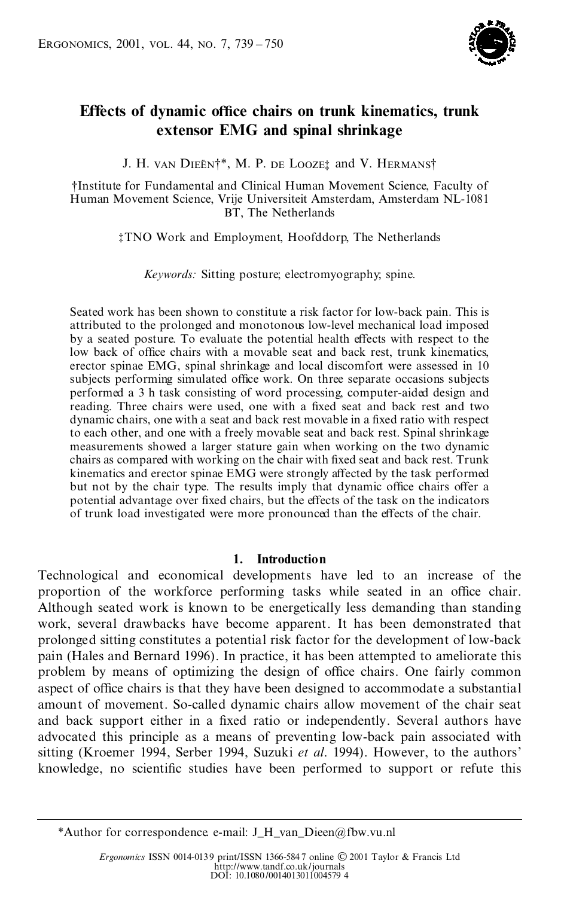

# **EŒects of dynamic o ce chairs on trunk kinematics, trunk extensor EMG and spinal shrinkage**

J. H. VAN DIEËN<sup>†\*</sup>, M. P. DE LOOZE<sup>†</sup> and V. HERMANS<sup>†</sup>

²Institute for Fundamental and Clinical Human Movement Science, Faculty of Human Movement Science, Vrije Universiteit Amsterdam, Amsterdam NL-1081 BT, The Netherlands

³ TNO Work and Employment, Hoofddorp, The Netherlands

*Keywords:* Sitting posture; electromyography; spine.

Seated work has been shown to constitute a risk factor for low-back pain. This is attributed to the prolonged and monotonous low-level mechanical load imposed by a seated posture. To evaluate the potential health effects with respect to the low back of office chairs with a movable seat and back rest, trunk kinematics, erector spinae EMG, spinal shrinkage and local discomfort were assessed in 10 subjects performing simulated office work. On three separate occasions subjects performed a 3 h task consisting of word processing, computer-aided design and reading. Three chairs were used, one with a fixed seat and back rest and two dynamic chairs, one with a seat and back rest movable in a fixed ratio with respect to each other, and one with a freely movable seat and back rest. Spinal shrinkage measurements showed a larger stature gain when working on the two dynamic chairs as compared with working on the chair with fixed seat and back rest. Trunk kinematics and erector spinae EMG were strongly affected by the task performed but not by the chair type. The results imply that dynamic office chairs offer a potential advantage over fixed chairs, but the effects of the task on the indicators of trunk load investigated were more pronounced than the effects of the chair.

# **1. Introduction**

Technological and economical developments have led to an increase of the proportion of the workforce performing tasks while seated in an office chair. Although seated work is known to be energetically less demanding than standing work, several drawbacks have become apparent. It has been demonstrated that prolonged sitting constitutes a potential risk factor for the development of low-back pain (Hales and Bernard 1996). In practice, it has been attempted to ameliorate this problem by means of optimizing the design of office chairs. One fairly common aspect of office chairs is that they have been designed to accommodate a substantial amount of movement. So-called dynamic chairs allow movement of the chair seat and back support either in a fixed ratio or independently. Several authors have advocated this principle as a means of preventing low-back pain associated with sitting (Kroemer 1994, Serber 1994, Suzuki *et al*. 1994). However, to the authors' knowledge, no scientific studies have been performed to support or refute this

<sup>\*</sup>Author for correspondence. e-mail: J\_H\_van\_Dieen@fbw.vu.nl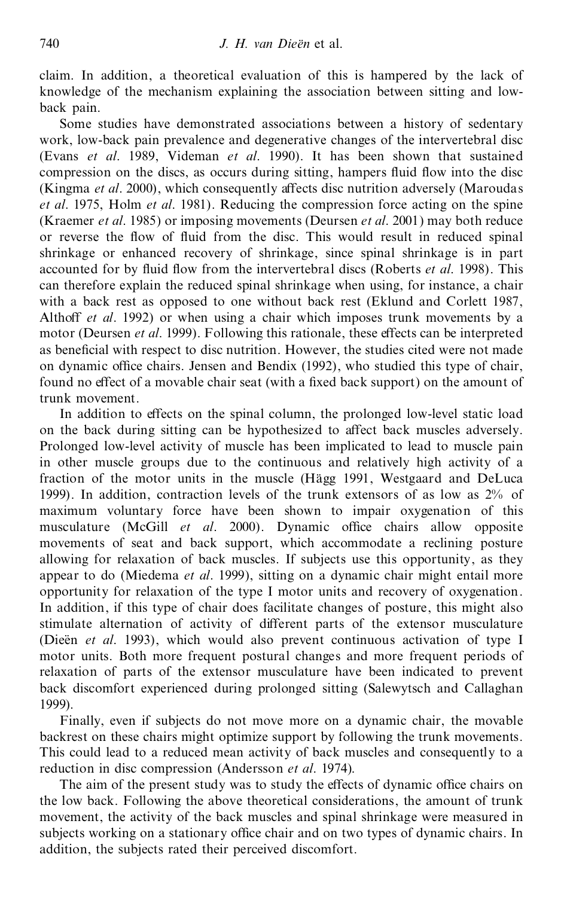claim. In addition, a theoretical evaluation of this is hampered by the lack of knowledge of the mechanism explaining the association between sitting and low back pain.

Some studies have demonstrated associations between a history of sedentary work, low-back pain prevalence and degenerative changes of the intervertebral disc (Evans *et al*. 1989, Videman *et al*. 1990). It has been shown that sustained compression on the discs, as occurs during sitting, hampers fluid flow into the disc (Kingma *et al.* 2000), which consequently affects disc nutrition adversely (Maroudas *et al*. 1975, Holm *et al*. 1981). Reducing the compression force acting on the spine (Kraemer *et al*. 1985) or imposing movements (Deursen *et al*. 2001) may both reduce or reverse the flow of fluid from the disc. This would result in reduced spinal shrinkage or enhanced recovery of shrinkage, since spinal shrinkage is in part accounted for by fluid flow from the intervertebral discs (Roberts *et al.* 1998). This can therefore explain the reduced spinal shrinkage when using, for instance, a chair with a back rest as opposed to one without back rest (Eklund and Corlett 1987, Althoff *et al.* 1992) or when using a chair which imposes trunk movements by a motor (Deursen *et al.* 1999). Following this rationale, these effects can be interpreted as beneficial with respect to disc nutrition. However, the studies cited were not made on dynamic office chairs. Jensen and Bendix (1992), who studied this type of chair, found no effect of a movable chair seat (with a fixed back support) on the amount of trunk movement.

In addition to effects on the spinal column, the prolonged low-level static load on the back during sitting can be hypothesized to affect back muscles adversely. Prolonged low-level activity of muscle has been implicated to lead to muscle pain in other muscle groups due to the continuous and relatively high activity of a fraction of the motor units in the muscle (Hägg 1991, Westgaard and DeLuca 1999). In addition, contraction levels of the trunk extensors of as low as 2% of maximum voluntary force have been shown to impair oxygenation of this musculature (McGill *et al.* 2000). Dynamic office chairs allow opposite movements of seat and back support, which accommodate a reclining posture allowing for relaxation of back muscles. If subjects use this opportunity, as they appear to do (Miedema *et al*. 1999), sitting on a dynamic chair might entail more opportunity for relaxation of the type I motor units and recovery of oxygenation. In addition, if this type of chair does facilitate changes of posture, this might also stimulate alternation of activity of different parts of the extensor musculature (Dieën et al. 1993), which would also prevent continuous activation of type I motor units. Both more frequent postural changes and more frequent periods of relaxation of parts of the extensor musculature have been indicated to prevent back discomfort experienced during prolonged sitting (Salewytsch and Callaghan 1999).

Finally, even if subjects do not move more on a dynamic chair, the movable backrest on these chairs might optimize support by following the trunk movements. This could lead to a reduced mean activity of back muscles and consequently to a reduction in disc compression (Andersson *et al*. 1974).

The aim of the present study was to study the effects of dynamic office chairs on the low back. Following the above theoretical considerations, the amount of trunk movement, the activity of the back muscles and spinal shrinkage were measured in subjects working on a stationary office chair and on two types of dynamic chairs. In addition, the subjects rated their perceived discomfort.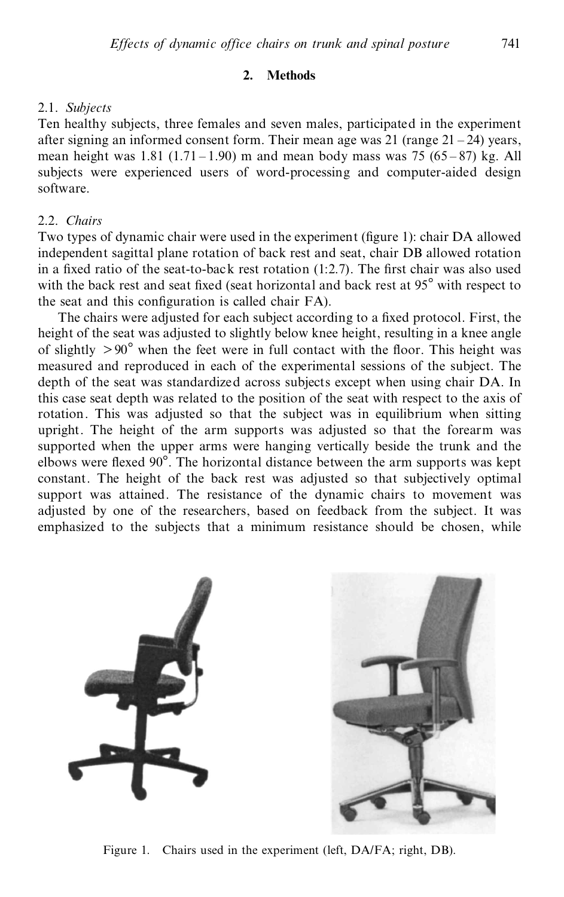### **2. Methods**

## 2.1. *Subjects*

Ten healthy subjects, three females and seven males, participated in the experiment after signing an informed consent form. Their mean age was  $21$  (range  $21 - 24$ ) years, mean height was  $1.81$  ( $1.71 - 1.90$ ) m and mean body mass was  $75$  ( $65 - 87$ ) kg. All subjects were experienced users of word-processing and computer-aided design software.

# 2.2. *Chairs*

Two types of dynamic chair were used in the experiment (figure 1): chair DA allowed independent sagittal plane rotation of back rest and seat, chair DB allowed rotation in a fixed ratio of the seat-to-back rest rotation  $(1:2.7)$ . The first chair was also used with the back rest and seat fixed (seat horizontal and back rest at  $95^{\circ}$  with respect to the seat and this configuration is called chair FA).

The chairs were adjusted for each subject according to a fixed protocol. First, the height of the seat was adjusted to slightly below knee height, resulting in a knee angle of slightly  $> 90^{\circ}$  when the feet were in full contact with the floor. This height was measured and reproduced in each of the experimental sessions of the subject. The depth of the seat was standardized across subjects except when using chair DA. In this case seat depth was related to the position of the seat with respect to the axis of rotation. This was adjusted so that the subject was in equilibrium when sitting upright. The height of the arm supports was adjusted so that the forearm was supported when the upper arms were hanging vertically beside the trunk and the elbows were flexed  $90^\circ$ . The horizontal distance between the arm supports was kept constant. The height of the back rest was adjusted so that subjectively optimal support was attained. The resistance of the dynamic chairs to movement was adjusted by one of the researchers, based on feedback from the subject. It was emphasized to the subjects that a minimum resistance should be chosen, while



Figure 1. Chairs used in the experiment (left, DA/FA; right, DB).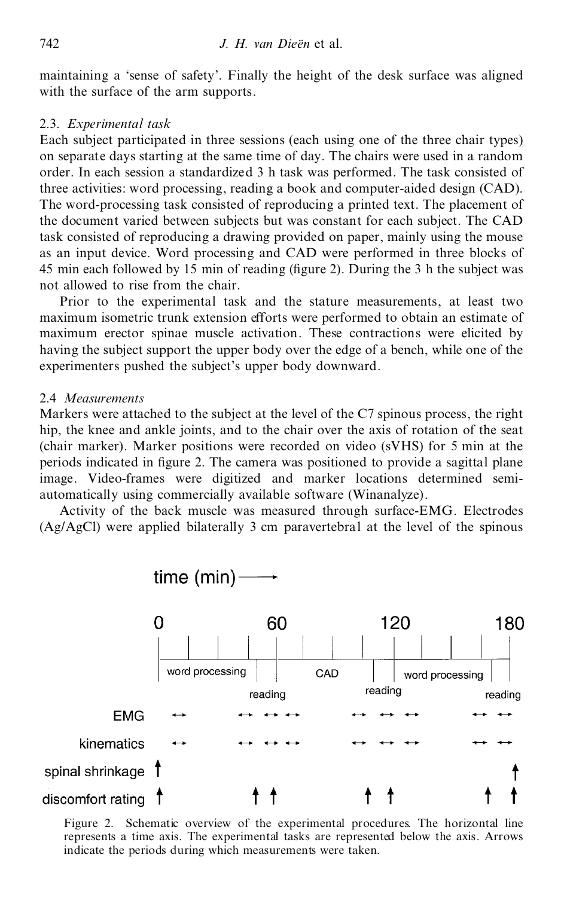maintaining a 'sense of safety'. Finally the height of the desk surface was aligned with the surface of the arm supports.

### 2.3. *Experimental task*

Each subject participated in three sessions (each using one of the three chair types) on separate days starting at the same time of day. The chairs were used in a random order. In each session a standardized 3 h task was performed. The task consisted of three activities: word processing, reading a book and computer-aided design (CAD). The word-processing task consisted of reproducing a printed text. The placement of the document varied between subjects but was constant for each subject. The CAD task consisted of reproducing a drawing provided on paper, mainly using the mouse as an input device. Word processing and CAD were performed in three blocks of 45 min each followed by 15 min of reading (figure 2). During the 3 h the subject was not allowed to rise from the chair.

Prior to the experimental task and the stature measurements, at least two maximum isometric trunk extension efforts were performed to obtain an estimate of maximum erector spinae muscle activation. These contractions were elicited by having the subject support the upper body over the edge of a bench, while one of the experimenters pushed the subject's upper body downward.

### 2.4 *Measurements*

Markers were attached to the subject at the level of the C7 spinous process, the right hip, the knee and ankle joints, and to the chair over the axis of rotation of the seat (chair marker). Marker positions were recorded on video (sVHS) for 5 min at the periods indicated in figure 2. The camera was positioned to provide a sagittal plane image. Video-frames were digitized and marker locations determined semi automatically using commercially available software (Winanalyze).

Activity of the back muscle was measured through surface-EMG. Electrodes (Ag/AgCl) were applied bilaterally 3 cm paravertebral at the level of the spinous



Figure 2. Schematic overview of the experimental procedures. The horizontal line represents a time axis. The experimental tasks are represented below the axis. Arrows indicate the periods during which measurements were taken.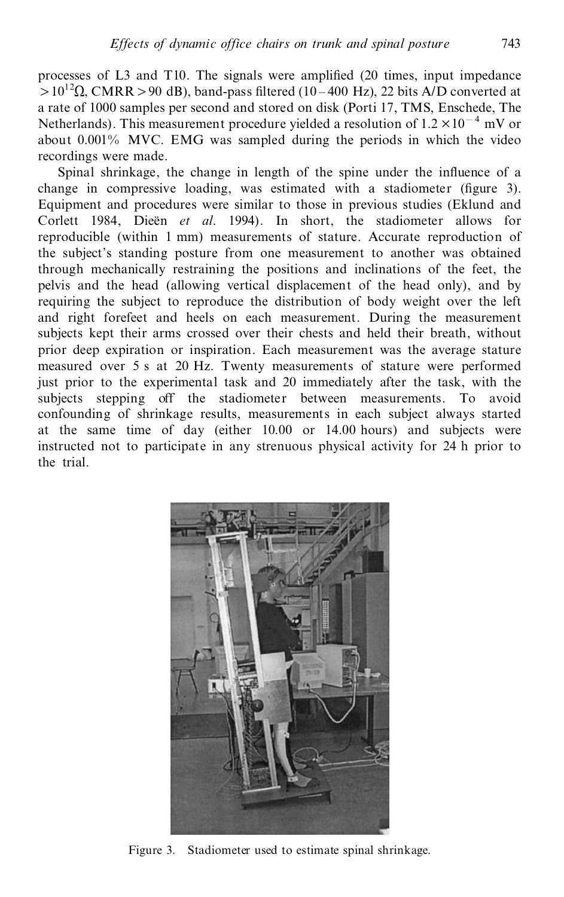processes of L3 and T10. The signals were amplified  $(20 \text{ times, input impedance})$  $>10^{12}$ Q, CMRR  $>90$  dB), band-pass filtered (10–400 Hz), 22 bits A/D converted at a rate of 1000 samples per second and stored on disk (Porti 17, TMS, Enschede, The Netherlands). This measurement procedure yielded a resolution of  $1.2 \times 10^{-4}$  mV or about 0.001% MVC. EMG was sampled during the periods in which the video recordings were made.

Spinal shrinkage, the change in length of the spine under the influence of a change in compressive loading, was estimated with a stadiometer (figure 3). Equipment and procedures were similar to those in previous studies (Eklund and Corlett 1984, Dieën *et al.* 1994). In short, the stadiometer allows for reproducible (within 1 mm) measurements of stature. Accurate reproduction of the subject's standing posture from one measurement to another was obtained through mechanically restraining the positions and inclinations of the feet, the pelvis and the head (allowing vertical displacement of the head only), and by requiring the subject to reproduce the distribution of body weight over the left and right forefeet and heels on each measurement. During the measurement subjects kept their arms crossed over their chests and held their breath, without prior deep expiration or inspiration. Each measurement was the average stature measured over 5 s at 20 Hz. Twenty measurements of stature were performed just prior to the experimental task and 20 immediately after the task, with the subjects stepping off the stadiometer between measurements. To avoid confounding of shrinkage results, measurements in each subject always started at the same time of day (either 10.00 or 14.00 hours) and subjects were instructed not to participate in any strenuous physical activity for 24 h prior to the trial.



Figure 3. Stadiometer used to estimate spinal shrinkage.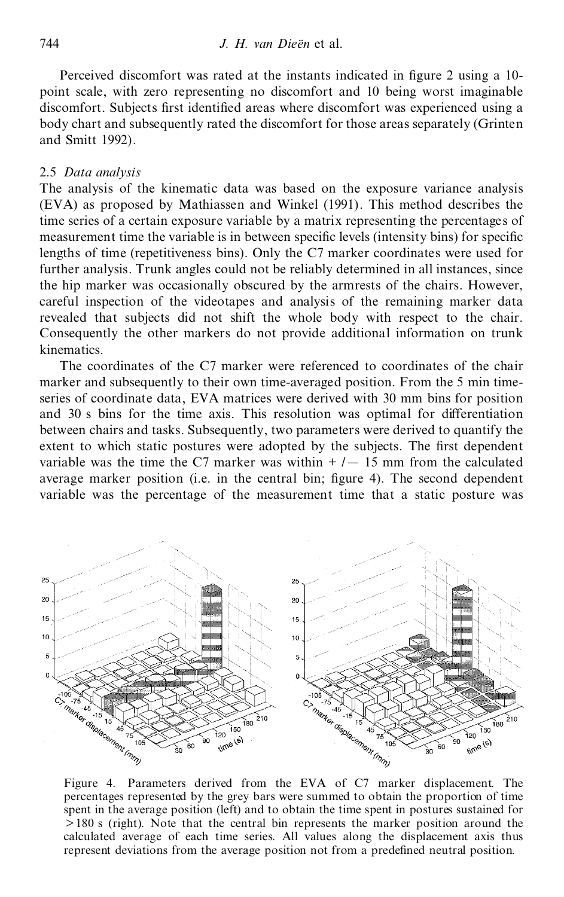Perceived discomfort was rated at the instants indicated in figure 2 using a 10point scale, with zero representing no discomfort and 10 being worst imaginable discomfort. Subjects first identified areas where discomfort was experienced using a body chart and subsequently rated the discomfort for those areas separately (Grinten and Smitt 1992).

#### 2.5 *Data analysis*

The analysis of the kinematic data was based on the exposure variance analysis (EVA) as proposed by Mathiassen and Winkel (1991). This method describes the time series of a certain exposure variable by a matrix representing the percentages of measurement time the variable is in between specific levels (intensity bins) for specific lengths of time (repetitiveness bins). Only the C7 marker coordinates were used for further analysis. Trunk angles could not be reliably determined in all instances, since the hip marker was occasionally obscured by the armrests of the chairs. However, careful inspection of the videotapes and analysis of the remaining marker data revealed that subjects did not shift the whole body with respect to the chair. Consequently the other markers do not provide additional information on trunk kinematics.

The coordinates of the C7 marker were referenced to coordinates of the chair marker and subsequently to their own time-averaged position. From the 5 min timeseries of coordinate data, EVA matrices were derived with 30 mm bins for position and 30 s bins for the time axis. This resolution was optimal for differentiation between chairs and tasks. Subsequently, two parameters were derived to quantify the extent to which static postures were adopted by the subjects. The first dependent variable was the time the C7 marker was within  $+/-15$  mm from the calculated average marker position (i.e. in the central bin; figure 4). The second dependent variable was the percentage of the measurement time that a static posture was



Figure 4. Parameters derived from the EVA of C7 marker displacement. The percentages represented by the grey bars were summed to obtain the proportion of time  $>180$  s (right). Note that the central bin represents the marker position around the calculated average of each time series. All values along the displacement axis thus represent deviations from the average position not from a predefined neutral position.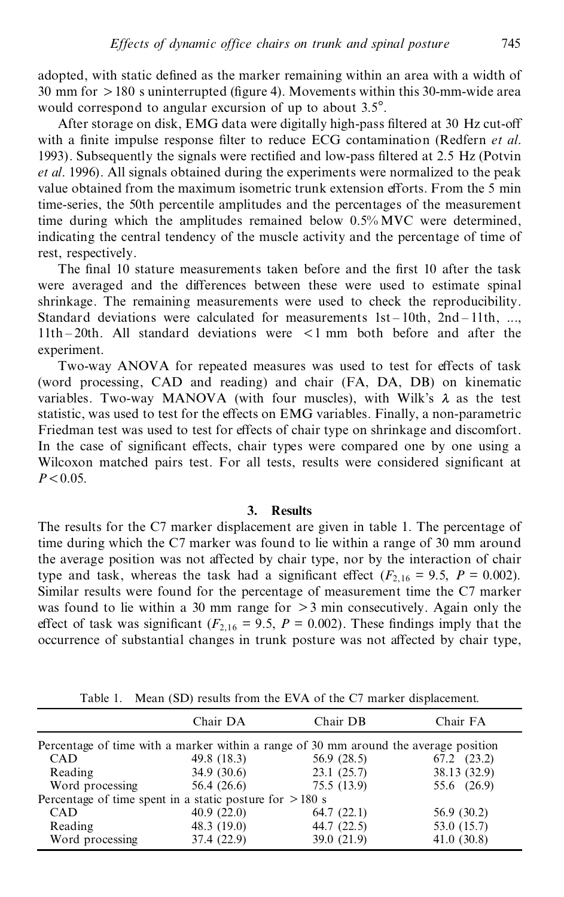adopted, with static defined as the marker remaining within an area with a width of 30 mm for  $> 180$  s uninterrupted (figure 4). Movements within this 30-mm-wide area would correspond to angular excursion of up to about  $3.5^\circ$ .

After storage on disk, EMG data were digitally high-pass filtered at 30 Hz cut-off with a finite impulse response filter to reduce ECG contamination (Redfern *et al.*) 1993). Subsequently the signals were rectified and low-pass filtered at 2.5 Hz (Potvin *et al*. 1996). All signals obtained during the experiments were normalized to the peak value obtained from the maximum isometric trunk extension efforts. From the 5 min time-series, the 50th percentile amplitudes and the percentages of the measurement time during which the amplitudes remained below 0.5% MVC were determined, indicating the central tendency of the muscle activity and the percentage of time of rest, respectively.

The final 10 stature measurements taken before and the first 10 after the task were averaged and the differences between these were used to estimate spinal shrinkage. The remaining measurements were used to check the reproducibility. Standard deviations were calculated for measurements  $1st - 10th$ ,  $2nd - 11th$ , ...,  $11th - 20th$ . All standard deviations were  $\leq 1$  mm both before and after the experiment.

Two-way ANOVA for repeated measures was used to test for effects of task (word processing, CAD and reading) and chair (FA, DA, DB) on kinematic variables. Two-way MANOVA (with four muscles), with Wilk's *k* as the test statistic, was used to test for the effects on EMG variables. Finally, a non-parametric Friedman test was used to test for effects of chair type on shrinkage and discomfort. In the case of significant effects, chair types were compared one by one using a Wilcoxon matched pairs test. For all tests, results were considered significant at  $P < 0.05$ .

#### **3. Results**

The results for the C7 marker displacement are given in table 1. The percentage of time during which the C7 marker was found to lie within a range of 30 mm around the average position was not affected by chair type, nor by the interaction of chair type and task, whereas the task had a significant effect  $(F_{2,16} = 9.5, P = 0.002)$ . Similar results were found for the percentage of measurement time the C7 marker was found to lie within a 30 mm range for  $>$  3 min consecutively. Again only the effect of task was significant ( $F_{2,16} = 9.5$ ,  $P = 0.002$ ). These findings imply that the occurrence of substantial changes in trunk posture was not affected by chair type,

Table 1. Mean (SD) results from the EVA of the C7 marker displacement.

|                                                                                      | Chair DA    | Chair DB    | Chair FA        |
|--------------------------------------------------------------------------------------|-------------|-------------|-----------------|
| Percentage of time with a marker within a range of 30 mm around the average position |             |             |                 |
| <b>CAD</b>                                                                           | 49.8 (18.3) | 56.9 (28.5) | $67.2$ $(23.2)$ |
| Reading                                                                              | 34.9(30.6)  | 23.1(25.7)  | 38.13 (32.9)    |
| Word processing                                                                      | 56.4 (26.6) | 75.5 (13.9) | 55.6 (26.9)     |
| Percentage of time spent in a static posture for $> 180$ s                           |             |             |                 |
| <b>CAD</b>                                                                           | 40.9(22.0)  | 64.7(22.1)  | 56.9 (30.2)     |
| Reading                                                                              | 48.3 (19.0) | 44.7 (22.5) | 53.0 (15.7)     |
| Word processing                                                                      | 37.4 (22.9) | 39.0 (21.9) | 41.0(30.8)      |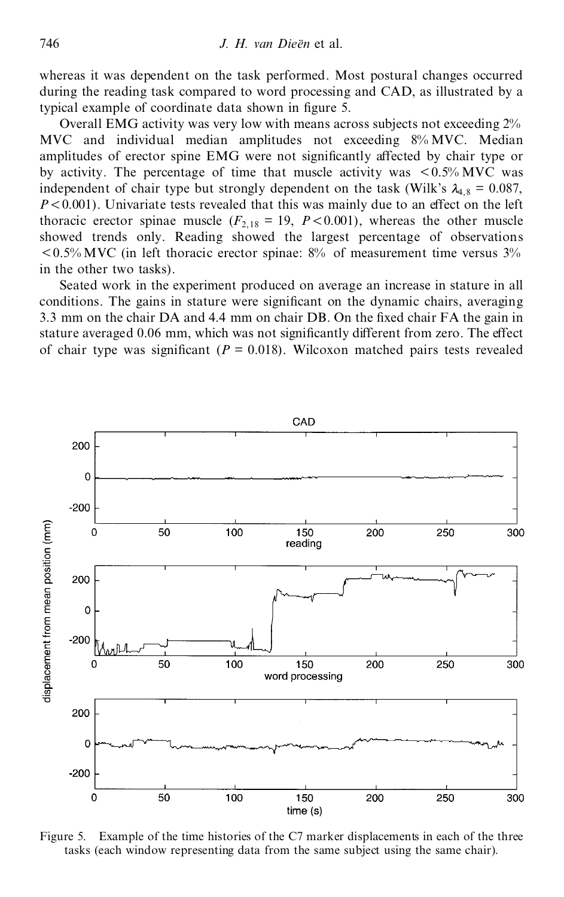whereas it was dependent on the task performed. Most postural changes occurred during the reading task compared to word processing and CAD, as illustrated by a typical example of coordinate data shown in figure 5.

Overall EMG activity was very low with means across subjects not exceeding 2% MVC and individual median amplitudes not exceeding 8% MVC. Median amplitudes of erector spine EMG were not significantly affected by chair type or by activity. The percentage of time that muscle activity was  $\leq 0.5\%$  MVC was independent of chair type but strongly dependent on the task (Wilk's  $\lambda_{4,8} = 0.087$ ,  $P \le 0.001$ ). Univariate tests revealed that this was mainly due to an effect on the left thoracic erector spinae muscle  $(F_{2,18} = 19, P < 0.001)$ , whereas the other muscle showed trends only. Reading showed the largest percentage of observations  $< 0.5\%$  MVC (in left thoracic erector spinae: 8% of measurement time versus 3% in the other two tasks).

Seated work in the experiment produced on average an increase in stature in all conditions. The gains in stature were significant on the dynamic chairs, averaging  $3.3$  mm on the chair DA and  $4.4$  mm on chair DB. On the fixed chair FA the gain in stature averaged 0.06 mm, which was not significantly different from zero. The effect of chair type was significant ( $P = 0.018$ ). Wilcoxon matched pairs tests revealed



Figure 5. Example of the time histories of the C7 marker displacements in each of the three tasks (each window representing data from the same subject using the same chair).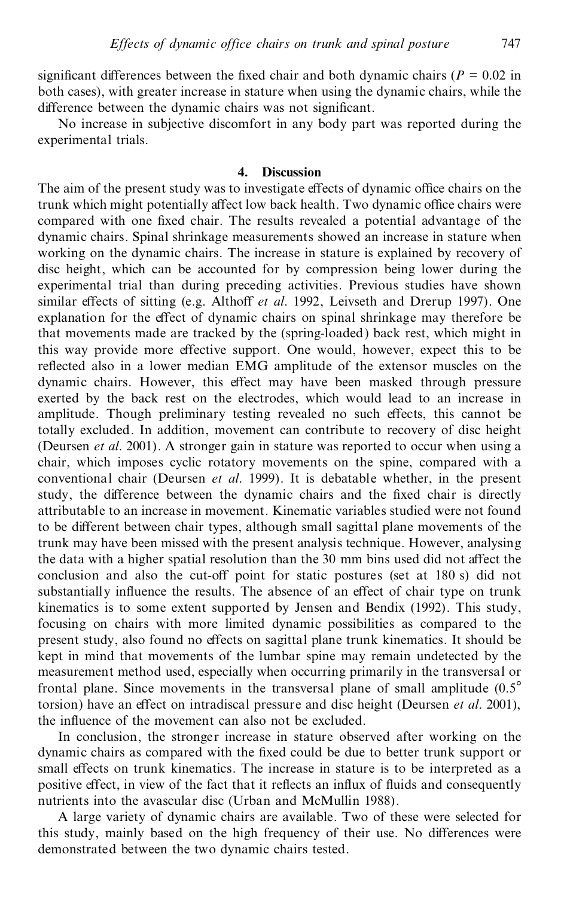significant differences between the fixed chair and both dynamic chairs ( $P = 0.02$  in both cases), with greater increase in stature when using the dynamic chairs, while the difference between the dynamic chairs was not significant.

No increase in subjective discomfort in any body part was reported during the experimental trials.

### **4. Discussion**

The aim of the present study was to investigate effects of dynamic office chairs on the trunk which might potentially affect low back health. Two dynamic office chairs were compared with one fixed chair. The results revealed a potential advantage of the dynamic chairs. Spinal shrinkage measurements showed an increase in stature when working on the dynamic chairs. The increase in stature is explained by recovery of disc height, which can be accounted for by compression being lower during the experimental trial than during preceding activities. Previous studies have shown similar effects of sitting (e.g. Althoff *et al.* 1992, Leivseth and Drerup 1997). One explanation for the effect of dynamic chairs on spinal shrinkage may therefore be that movements made are tracked by the (spring-loaded) back rest, which might in this way provide more eŒective support. One would, however, expect this to be reflected also in a lower median EMG amplitude of the extensor muscles on the dynamic chairs. However, this effect may have been masked through pressure exerted by the back rest on the electrodes, which would lead to an increase in amplitude. Though preliminary testing revealed no such effects, this cannot be totally excluded. In addition, movement can contribute to recovery of disc height (Deursen *et al*. 2001). A stronger gain in stature was reported to occur when using a chair, which imposes cyclic rotatory movements on the spine, compared with a conventional chair (Deursen *et al*. 1999). It is debatable whether, in the present study, the difference between the dynamic chairs and the fixed chair is directly attributable to an increase in movement. Kinematic variables studied were not found to be different between chair types, although small sagittal plane movements of the trunk may have been missed with the present analysis technique. However, analysing the data with a higher spatial resolution than the 30 mm bins used did not affect the conclusion and also the cut-off point for static postures (set at 180 s) did not substantially influence the results. The absence of an effect of chair type on trunk kinematics is to some extent supported by Jensen and Bendix (1992). This study, focusing on chairs with more limited dynamic possibilities as compared to the present study, also found no effects on sagittal plane trunk kinematics. It should be kept in mind that movements of the lumbar spine may remain undetected by the measurement method used, especially when occurring primarily in the transversal or frontal plane. Since movements in the transversal plane of small amplitude  $(0.5^{\circ}$ torsion) have an effect on intradiscal pressure and disc height (Deursen *et al.* 2001), the influence of the movement can also not be excluded.

In conclusion, the stronger increase in stature observed after working on the dynamic chairs as compared with the fixed could be due to better trunk support or small effects on trunk kinematics. The increase in stature is to be interpreted as a positive effect, in view of the fact that it reflects an influx of fluids and consequently nutrients into the avascular disc (Urban and McMullin 1988).

A large variety of dynamic chairs are available. Two of these were selected for this study, mainly based on the high frequency of their use. No differences were demonstrated between the two dynamic chairs tested.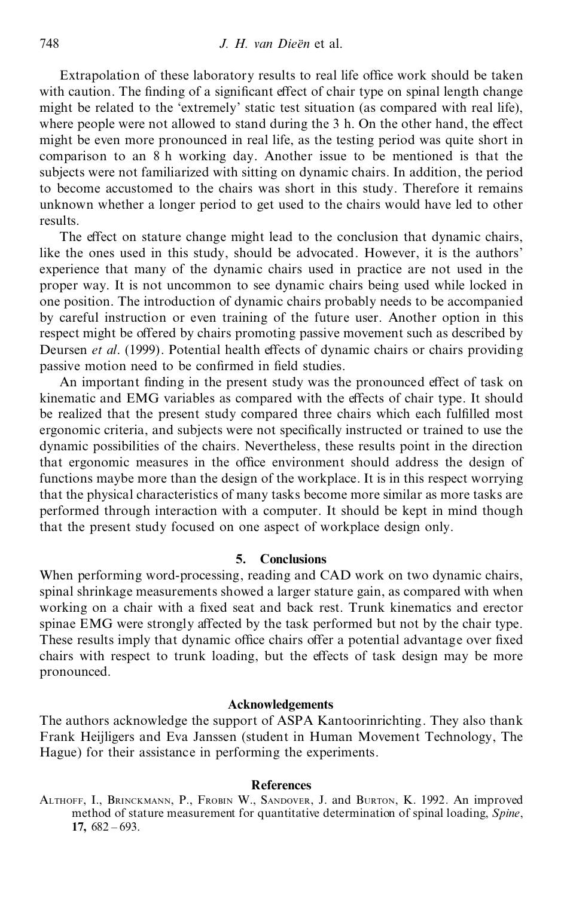Extrapolation of these laboratory results to real life office work should be taken with caution. The finding of a significant effect of chair type on spinal length change might be related to the 'extremely' static test situation (as compared with real life), where people were not allowed to stand during the  $3$  h. On the other hand, the effect might be even more pronounced in real life, as the testing period was quite short in comparison to an 8 h working day. Another issue to be mentioned is that the subjects were not familiarized with sitting on dynamic chairs. In addition, the period to become accustomed to the chairs was short in this study. Therefore it remains unknown whether a longer period to get used to the chairs would have led to other results.

The effect on stature change might lead to the conclusion that dynamic chairs, like the ones used in this study, should be advocated. However, it is the authors' experience that many of the dynamic chairs used in practice are not used in the proper way. It is not uncommon to see dynamic chairs being used while locked in one position. The introduction of dynamic chairs probably needs to be accompanied by careful instruction or even training of the future user. Another option in this respect might be offered by chairs promoting passive movement such as described by Deursen *et al.* (1999). Potential health effects of dynamic chairs or chairs providing passive motion need to be confirmed in field studies.

An important finding in the present study was the pronounced effect of task on kinematic and EMG variables as compared with the effects of chair type. It should be realized that the present study compared three chairs which each fulfilled most ergonomic criteria, and subjects were not specifically instructed or trained to use the dynamic possibilities of the chairs. Nevertheless, these results point in the direction that ergonomic measures in the office environment should address the design of functions maybe more than the design of the workplace. It is in this respect worrying that the physical characteristics of many tasks become more similar as more tasks are performed through interaction with a computer. It should be kept in mind though that the present study focused on one aspect of workplace design only.

#### **5. Conclusions**

When performing word-processing, reading and CAD work on two dynamic chairs, spinal shrinkage measurements showed a larger stature gain, as compared with when working on a chair with a fixed seat and back rest. Trunk kinematics and erector spinae EMG were strongly affected by the task performed but not by the chair type. These results imply that dynamic office chairs offer a potential advantage over fixed chairs with respect to trunk loading, but the effects of task design may be more pronounced.

#### **Acknowledgements**

The authors acknowledge the support of ASPA Kantoorinrichting. They also thank Frank Heijligers and Eva Janssen (student in Human Movement Technology, The Hague) for their assistance in performing the experiments.

#### **References**

ALTHOFF, I., BRINCKMANN, P., FROBIN W., SANDOVER, J. and BURTON, K. 1992. An improved method of stature measurement for quantitative determination of spinal loading, *Spine*, **17,** 682 – 693.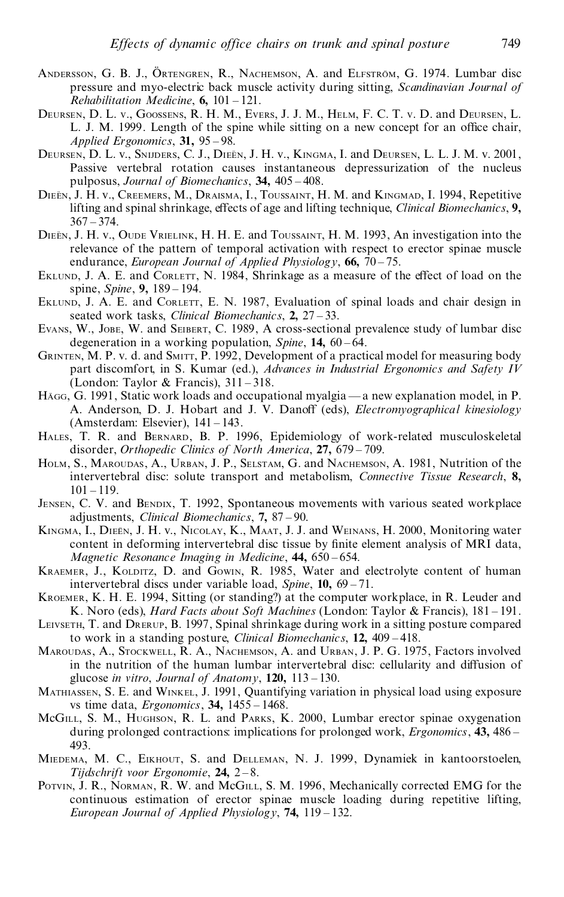- ANDERSSON, G. B. J., ÖRTENGREN, R., NACHEMSON, A. and ELFSTRÖM, G. 1974. Lumbar disc pressure and myo-electric back muscle activity during sitting, *Scandinavian Journal of*  $Rehabilitation$   $Medicine$ ,  $6$ ,  $101-121$ .
- DEURSEN, D. L. <sup>V</sup>., GOOSSENS, R. H. M., EVERS, J. J. M., HELM, F. C. T. <sup>V</sup>. D. and DEURSEN, L. L. J. M. 1999. Length of the spine while sitting on a new concept for an office chair, *Applied Ergonomics*, 31, 95-98.
- DEURSEN, D. L. V., SNIJDERS, C. J., DIEËN, J. H. V., KINGMA, I. and DEURSEN, L. L. J. M. v. 2001, Passive vertebral rotation causes instantaneous depressurization of the nucleus pulposus, *Journal of Biomechanics*, 34, 405 - 408.
- DIEEÈN, J. H. v., CREEMERS, M., DRAISMA, I., TOUSSAINT, H. M. and KINGMAD, I. 1994, Repetitive lifting and spinal shrinkage, effects of age and lifting technique, *Clinical Biomechanics*, **9**,  $367 - 374.$
- DIEEÈN, J. H. v., OUDE VRIELINK, H. H. E. and TOUSSAINT, H. M. 1993, An investigation into the relevance of the pattern of temporal activation with respect to erector spinae muscle endurance, *European Journal of Applied Physiology*, **66,**  $70-75$ .
- EKLUND, J. A. E. and CORLETT, N. 1984. Shrinkage as a measure of the effect of load on the spine, *Spine*, **9**, 189 – 194.
- EKLUND, J. A. E. and CORLETT, E. N. 1987, Evaluation of spinal loads and chair design in seated work tasks, *Clinical Biomechanics*, 2, 27 - 33.
- EVANS, W., JOBE, W. and SEIBERT, C. 1989, A cross-sectional prevalence study of lumbar disc degeneration in a working population, *Spine*, **14,**  $60 - 64$ .
- GRINTEN, M. P. v. d. and SMITT, P. 1992, Development of a practical model for measuring body part discomfort, in S. Kumar (ed.), *Advances in Industrial Ergonomics and Safety IV* (London: Taylor & Francis),  $311 - 318$ .
- HÄGG, G. 1991, Static work loads and occupational myalgia  $-$ a new explanation model, in P. A. Anderson, D. J. Hobart and J. V. DanoŒ(eds), *Electromyographical kinesiology* (Amsterdam: Elsevier),  $141 - 143$ .
- HALES, T. R. and BERNARD, B. P. 1996, Epidemiology of work-related musculoskeletal disorder, *Orthopedic Clinics of North America*, 27, 679 - 709.
- HOLM, S., MAROUDAS, A., URBAN, J. P., SELSTAM, G. and NACHEMSON, A. 1981, Nutrition of the intervertebral disc: solute transport and metabolism, *Connective Tissue Research*, **8,**  $101 - 119.$
- JENSEN, C. V. and BENDIX, T. 1992, Spontaneous movements with various seated workplace adjustments, *Clinical Biomechanics*, 7, 87-90.
- KINGMA, I., DIEEÈN, J. H. v., NICOLAY, K., MAAT, J. J. and WEINANS, H. 2000, Monitoring water content in deforming intervertebral disc tissue by finite element analysis of MRI data, *Magnetic Resonance Imaging in Medicine*, 44, 650 – 654.
- KRAEMER, J., KOLDITZ, D. and GOWIN, R. 1985, Water and electrolyte content of human intervertebral discs under variable load, *Spine*, 10, 69 – 71.
- KROEMER, K. H. E. 1994, Sitting (or standing?) at the computer workplace, in R. Leuder and K. Noro (eds), *Hard Facts about Soft Machines* (London: Taylor & Francis), 181–191.
- LEIVSETH, T. and DRERUP, B. 1997, Spinal shrinkage during work in a sitting posture compared to work in a standing posture, *Clinical Biomechanics*, 12, 409 - 418.
- MAROUDAS, A., STOCKWELL, R. A., NACHEMSON, A. and URBAN, J. P. G. 1975, Factors involved in the nutrition of the human lumbar intervertebral disc: cellularity and diffusion of glucose *in vitro*, *Journal of Anatomy*,  $120$ ,  $113 - 130$ .
- MATHIASSEN, S. E. and WINKEL, J. 1991, Quantifying variation in physical load using exposure vs time data, *Ergonomics*, **34,**  $1455 - 1468$ .
- McGILL, S. M., HUGHSON, R. L. and PARKS, K. 2000, Lumbar erector spinae oxygenation during prolonged contractions: implications for prolonged work, *Ergonomics*, 43, 486 -493.
- MIEDEMA, M. C., EIKHOUT, S. and DELLEMAN, N. J. 1999, Dynamiek in kantoorstoelen, *Tijdschrift* voor *Ergonomie*, 24, 2-8.
- POTVIN, J. R., NORMAN, R. W. and McGILL, S. M. 1996, Mechanically corrected EMG for the continuous estimation of erector spinae muscle loading during repetitive lifting, *European Journal of Applied Physiology*,  $74$ ,  $119 - 132$ .